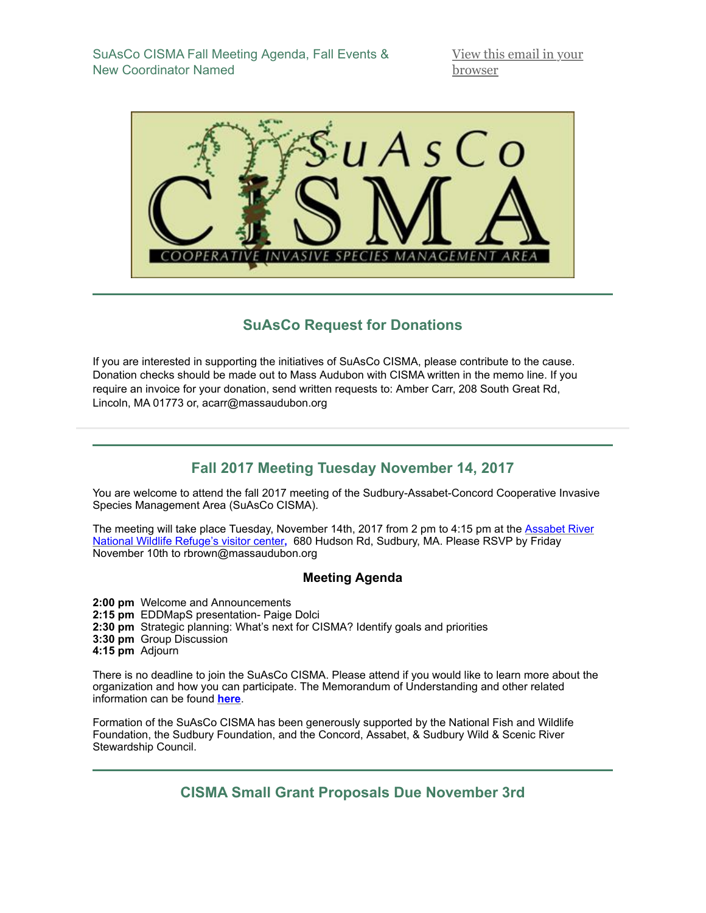SuAsCo CISMA Fall Meeting Agenda, Fall Events & New Coordinator Named

[View this email in your](http://mailchi.mp/1f8bfa2069e4/fall-suasco-cisma-winter-meeting-fall-events-and-more?e=14540e01c5) browser



## **SuAsCo Request for Donations**

If you are interested in supporting the initiatives of SuAsCo CISMA, please contribute to the cause. Donation checks should be made out to Mass Audubon with CISMA written in the memo line. If you require an invoice for your donation, send written requests to: Amber Carr, 208 South Great Rd, Lincoln, MA 01773 or, acarr@massaudubon.org

# **Fall 2017 Meeting Tuesday November 14, 2017**

You are welcome to attend the fall 2017 meeting of the Sudbury-Assabet-Concord Cooperative Invasive Species Management Area (SuAsCo CISMA).

[The meeting will take place Tuesday, November 14th, 2017 from 2 pm to 4:15 pm at the Assabet River](https://www.google.com/maps/place/680+Hudson+Rd,+Sudbury,+MA+01776/@42.3979641,-71.4717353,15z/data=!4m5!3m4!1s0x89e38e775c50e089:0xea8a1b87717bc789!8m2!3d42.3944462!4d-71.4725614?hl=en) National Wildlife Refuge's visitor center**,** 680 Hudson Rd, Sudbury, MA. Please RSVP by Friday November 10th to rbrown@massaudubon.org

#### **Meeting Agenda**

**2:00 pm** Welcome and Announcements **2:15 pm** EDDMapS presentation- Paige Dolci **2:30 pm** Strategic planning: What's next for CISMA? Identify goals and priorities **3:30 pm** Group Discussion **4:15 pm** Adjourn

There is no deadline to join the SuAsCo CISMA. Please attend if you would like to learn more about the organization and how you can participate. The Memorandum of Understanding and other related information can be found **[here](http://www.cisma-suasco.org/)**.

Formation of the SuAsCo CISMA has been generously supported by the National Fish and Wildlife Foundation, the Sudbury Foundation, and the Concord, Assabet, & Sudbury Wild & Scenic River Stewardship Council.

**CISMA Small Grant Proposals Due November 3rd**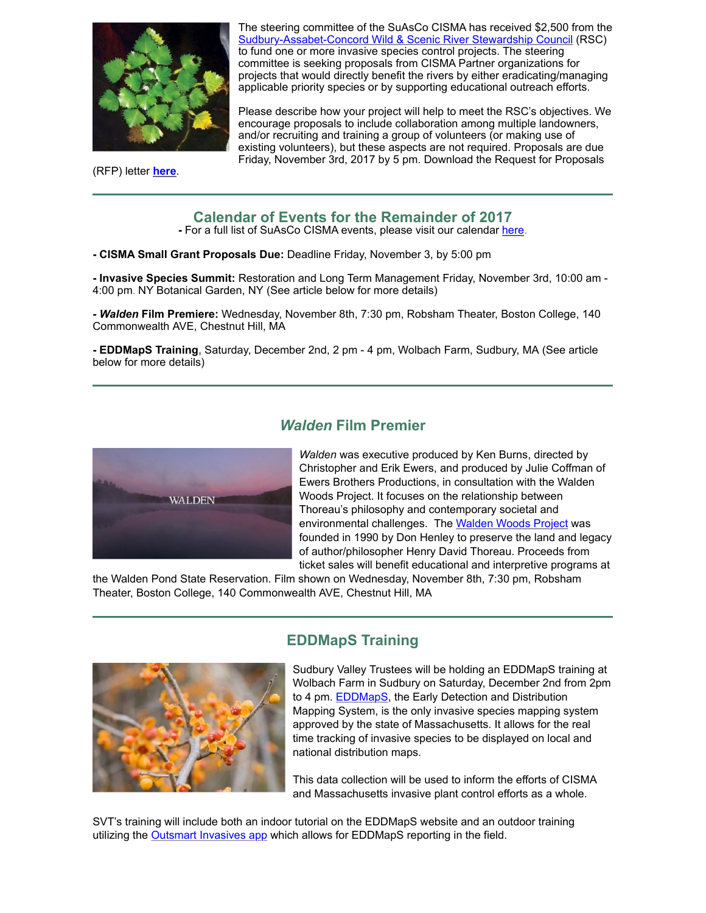

(RFP) letter **[here](http://www.cisma-suasco.org/projects/grants/currentgrants)**.

The steering committee of the SuAsCo CISMA has received \$2,500 from the [Sudbury-Assabet-Concord Wild & Scenic River Stewardship Council](http://www.sudbury-assabet-concord.org/) (RSC) to fund one or more invasive species control projects. The steering committee is seeking proposals from CISMA Partner organizations for projects that would directly benefit the rivers by either eradicating/managing applicable priority species or by supporting educational outreach efforts.

Please describe how your project will help to meet the RSC's objectives. We encourage proposals to include collaboration among multiple landowners, and/or recruiting and training a group of volunteers (or making use of existing volunteers), but these aspects are not required. Proposals are due Friday, November 3rd, 2017 by 5 pm. Download the Request for Proposals

## **Calendar of Events for the Remainder of 2017**

**-** For a full list of SuAsCo CISMA events, please visit our calendar [here.](http://www.cisma-suasco.org/calendar)

#### **- CISMA Small Grant Proposals Due:** Deadline Friday, November 3, by 5:00 pm

**- Invasive Species Summit:** Restoration and Long Term Management Friday, November 3rd, 10:00 am - 4:00 pm. NY Botanical Garden, NY (See article below for more details)

*- Walden* **Film Premiere:** Wednesday, November 8th, 7:30 pm, Robsham Theater, Boston College, 140 Commonwealth AVE, Chestnut Hill, MA

**- EDDMapS Training**, Saturday, December 2nd, 2 pm - 4 pm, Wolbach Farm, Sudbury, MA (See article below for more details)



#### *Walden* **Film Premier**

*Walden* was executive produced by Ken Burns, directed by Christopher and Erik Ewers, and produced by Julie Coffman of Ewers Brothers Productions, in consultation with the Walden Woods Project. It focuses on the relationship between Thoreau's philosophy and contemporary societal and environmental challenges. The [Walden Woods Project](https://www.walden.org/) was founded in 1990 by Don Henley to preserve the land and legacy of author/philosopher Henry David Thoreau. Proceeds from ticket sales will benefit educational and interpretive programs at

the Walden Pond State Reservation. Film shown on Wednesday, November 8th, 7:30 pm, Robsham Theater, Boston College, 140 Commonwealth AVE, Chestnut Hill, MA



#### **EDDMapS Training**

Sudbury Valley Trustees will be holding an EDDMapS training at Wolbach Farm in Sudbury on Saturday, December 2nd from 2pm to 4 pm. [EDDMapS,](https://www.eddmaps.org/) the Early Detection and Distribution Mapping System, is the only invasive species mapping system approved by the state of Massachusetts. It allows for the real time tracking of invasive species to be displayed on local and national distribution maps.

This data collection will be used to inform the efforts of CISMA and Massachusetts invasive plant control efforts as a whole.

SVT's training will include both an indoor tutorial on the EDDMapS website and an outdoor training utilizing the **Outsmart Invasives app** which allows for EDDMapS reporting in the field.